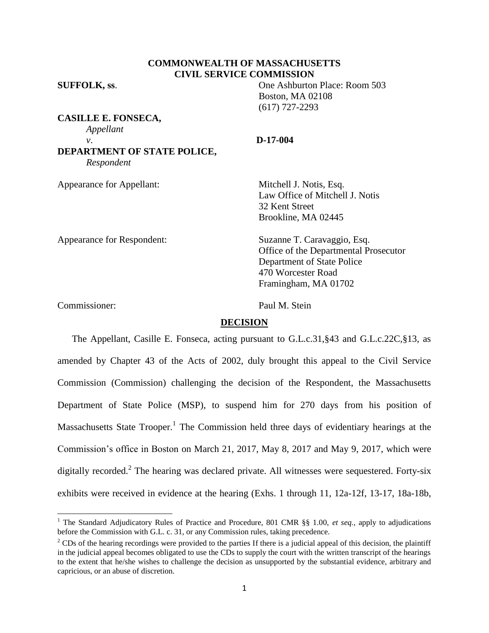# **COMMONWEALTH OF MASSACHUSETTS CIVIL SERVICE COMMISSION**

**SUFFOLK, ss**. One Ashburton Place: Room 503

|                                           | <b>Boston, MA 02108</b><br>$(617)$ 727-2293 |
|-------------------------------------------|---------------------------------------------|
| <b>CASILLE E. FONSECA,</b>                |                                             |
| Appellant                                 |                                             |
| ν.                                        | $D-17-004$                                  |
| DEPARTMENT OF STATE POLICE,<br>Respondent |                                             |
| <b>Appearance for Appellant:</b>          | Mitchell J. Notis, Esq.                     |
|                                           | Law Office of Mitchell J. Notis             |
|                                           | 32 Kent Street                              |
|                                           | Brookline, MA 02445                         |
| Appearance for Respondent:                | Suzanne T. Caravaggio, Esq.                 |
|                                           | Office of the Departmental Prosecutor       |
|                                           | Department of State Police                  |

Commissioner: Paul M. Stein

470 Worcester Road Framingham, MA 01702

# **DECISION**

The Appellant, Casille E. Fonseca, acting pursuant to G.L.c.31,§43 and G.L.c.22C,§13, as amended by Chapter 43 of the Acts of 2002, duly brought this appeal to the Civil Service Commission (Commission) challenging the decision of the Respondent, the Massachusetts Department of State Police (MSP), to suspend him for 270 days from his position of Massachusetts State Trooper.<sup>1</sup> The Commission held three days of evidentiary hearings at the Commission's office in Boston on March 21, 2017, May 8, 2017 and May 9, 2017, which were digitally recorded.<sup>2</sup> The hearing was declared private. All witnesses were sequestered. Forty-six exhibits were received in evidence at the hearing (Exhs. 1 through 11, 12a-12f, 13-17, 18a-18b,

 $\overline{\phantom{a}}$ <sup>1</sup> The Standard Adjudicatory Rules of Practice and Procedure, 801 CMR §§ 1.00, *et seq.*, apply to adjudications before the Commission with G.L. c. 31, or any Commission rules, taking precedence.

 $2^2$  CDs of the hearing recordings were provided to the parties If there is a judicial appeal of this decision, the plaintiff in the judicial appeal becomes obligated to use the CDs to supply the court with the written transcript of the hearings to the extent that he/she wishes to challenge the decision as unsupported by the substantial evidence, arbitrary and capricious, or an abuse of discretion.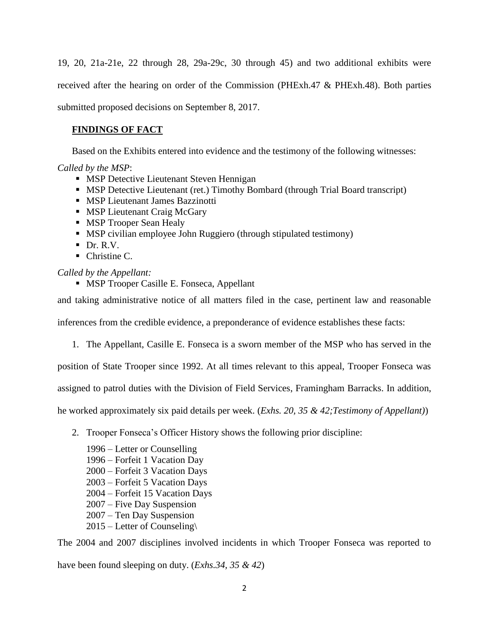19, 20, 21a-21e, 22 through 28, 29a-29c, 30 through 45) and two additional exhibits were received after the hearing on order of the Commission (PHExh.47 & PHExh.48). Both parties submitted proposed decisions on September 8, 2017.

# **FINDINGS OF FACT**

Based on the Exhibits entered into evidence and the testimony of the following witnesses:

*Called by the MSP*:

- **MSP Detective Lieutenant Steven Hennigan**
- MSP Detective Lieutenant (ret.) Timothy Bombard (through Trial Board transcript)
- **MSP Lieutenant James Bazzinotti**
- **MSP Lieutenant Craig McGary**
- **MSP Trooper Sean Healy**
- MSP civilian employee John Ruggiero (through stipulated testimony)
- $\blacksquare$  Dr. R.V.
- $\blacksquare$  Christine C.

*Called by the Appellant:*

**MSP Trooper Casille E. Fonseca, Appellant** 

and taking administrative notice of all matters filed in the case, pertinent law and reasonable

inferences from the credible evidence, a preponderance of evidence establishes these facts:

1. The Appellant, Casille E. Fonseca is a sworn member of the MSP who has served in the

position of State Trooper since 1992. At all times relevant to this appeal, Trooper Fonseca was

assigned to patrol duties with the Division of Field Services, Framingham Barracks. In addition,

he worked approximately six paid details per week. (*Exhs. 20, 35 & 42;Testimony of Appellant)*)

- 2. Trooper Fonseca's Officer History shows the following prior discipline:
	- 1996 Letter or Counselling 1996 – Forfeit 1 Vacation Day 2000 – Forfeit 3 Vacation Days 2003 – Forfeit 5 Vacation Days 2004 – Forfeit 15 Vacation Days 2007 – Five Day Suspension 2007 – Ten Day Suspension 2015 – Letter of Counseling\

The 2004 and 2007 disciplines involved incidents in which Trooper Fonseca was reported to have been found sleeping on duty. (*Exhs.34, 35 & 42*)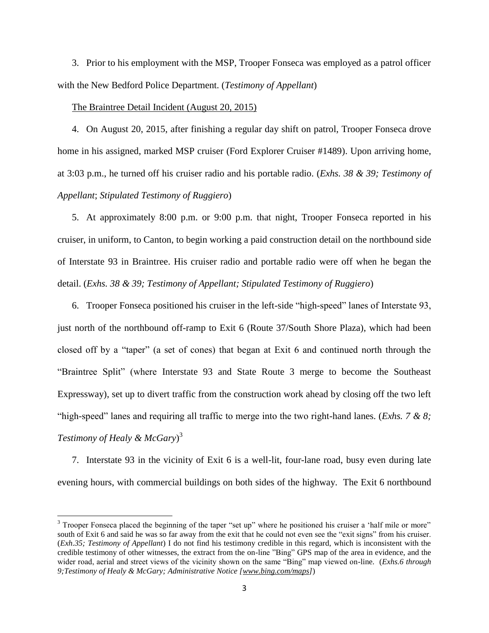3. Prior to his employment with the MSP, Trooper Fonseca was employed as a patrol officer with the New Bedford Police Department. (*Testimony of Appellant*)

### The Braintree Detail Incident (August 20, 2015)

l

4. On August 20, 2015, after finishing a regular day shift on patrol, Trooper Fonseca drove home in his assigned, marked MSP cruiser (Ford Explorer Cruiser #1489). Upon arriving home, at 3:03 p.m., he turned off his cruiser radio and his portable radio. (*Exhs. 38 & 39; Testimony of Appellant*; *Stipulated Testimony of Ruggiero*)

5. At approximately 8:00 p.m. or 9:00 p.m. that night, Trooper Fonseca reported in his cruiser, in uniform, to Canton, to begin working a paid construction detail on the northbound side of Interstate 93 in Braintree. His cruiser radio and portable radio were off when he began the detail. (*Exhs. 38 & 39; Testimony of Appellant; Stipulated Testimony of Ruggiero*)

6. Trooper Fonseca positioned his cruiser in the left-side "high-speed" lanes of Interstate 93, just north of the northbound off-ramp to Exit 6 (Route 37/South Shore Plaza), which had been closed off by a "taper" (a set of cones) that began at Exit 6 and continued north through the "Braintree Split" (where Interstate 93 and State Route 3 merge to become the Southeast Expressway), set up to divert traffic from the construction work ahead by closing off the two left "high-speed" lanes and requiring all traffic to merge into the two right-hand lanes. (*Exhs. 7 & 8; Testimony of Healy & McGary*) 3

7. Interstate 93 in the vicinity of Exit 6 is a well-lit, four-lane road, busy even during late evening hours, with commercial buildings on both sides of the highway. The Exit 6 northbound

<sup>&</sup>lt;sup>3</sup> Trooper Fonseca placed the beginning of the taper "set up" where he positioned his cruiser a 'half mile or more" south of Exit 6 and said he was so far away from the exit that he could not even see the "exit signs" from his cruiser. (*Exh.35; Testimony of Appellant*) I do not find his testimony credible in this regard, which is inconsistent with the credible testimony of other witnesses, the extract from the on-line "Bing" GPS map of the area in evidence, and the wider road, aerial and street views of the vicinity shown on the same "Bing" map viewed on-line. (*Exhs.6 through 9;Testimony of Healy & McGary; Administrative Notice [www.bing.com/maps]*)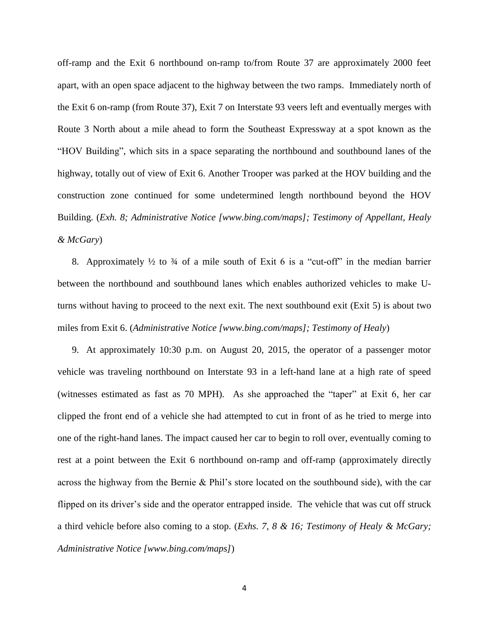off-ramp and the Exit 6 northbound on-ramp to/from Route 37 are approximately 2000 feet apart, with an open space adjacent to the highway between the two ramps. Immediately north of the Exit 6 on-ramp (from Route 37), Exit 7 on Interstate 93 veers left and eventually merges with Route 3 North about a mile ahead to form the Southeast Expressway at a spot known as the "HOV Building", which sits in a space separating the northbound and southbound lanes of the highway, totally out of view of Exit 6. Another Trooper was parked at the HOV building and the construction zone continued for some undetermined length northbound beyond the HOV Building. (*Exh. 8; Administrative Notice [www.bing.com/maps]; Testimony of Appellant, Healy & McGary*)

8. Approximately  $\frac{1}{2}$  to  $\frac{3}{4}$  of a mile south of Exit 6 is a "cut-off" in the median barrier between the northbound and southbound lanes which enables authorized vehicles to make Uturns without having to proceed to the next exit. The next southbound exit (Exit 5) is about two miles from Exit 6. (*Administrative Notice [www.bing.com/maps]; Testimony of Healy*)

9. At approximately 10:30 p.m. on August 20, 2015, the operator of a passenger motor vehicle was traveling northbound on Interstate 93 in a left-hand lane at a high rate of speed (witnesses estimated as fast as 70 MPH). As she approached the "taper" at Exit 6, her car clipped the front end of a vehicle she had attempted to cut in front of as he tried to merge into one of the right-hand lanes. The impact caused her car to begin to roll over, eventually coming to rest at a point between the Exit 6 northbound on-ramp and off-ramp (approximately directly across the highway from the Bernie & Phil's store located on the southbound side), with the car flipped on its driver's side and the operator entrapped inside. The vehicle that was cut off struck a third vehicle before also coming to a stop. (*Exhs. 7, 8 & 16; Testimony of Healy & McGary; Administrative Notice [www.bing.com/maps]*)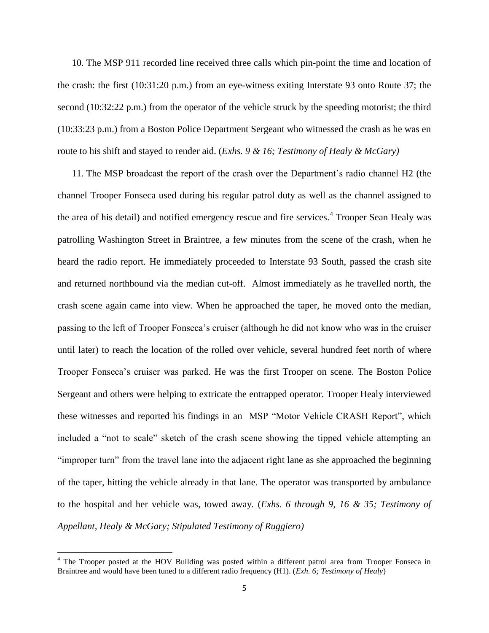10. The MSP 911 recorded line received three calls which pin-point the time and location of the crash: the first (10:31:20 p.m.) from an eye-witness exiting Interstate 93 onto Route 37; the second (10:32:22 p.m.) from the operator of the vehicle struck by the speeding motorist; the third (10:33:23 p.m.) from a Boston Police Department Sergeant who witnessed the crash as he was en route to his shift and stayed to render aid. (*Exhs. 9 & 16; Testimony of Healy & McGary)*

11. The MSP broadcast the report of the crash over the Department's radio channel H2 (the channel Trooper Fonseca used during his regular patrol duty as well as the channel assigned to the area of his detail) and notified emergency rescue and fire services.<sup>4</sup> Trooper Sean Healy was patrolling Washington Street in Braintree, a few minutes from the scene of the crash, when he heard the radio report. He immediately proceeded to Interstate 93 South, passed the crash site and returned northbound via the median cut-off. Almost immediately as he travelled north, the crash scene again came into view. When he approached the taper, he moved onto the median, passing to the left of Trooper Fonseca's cruiser (although he did not know who was in the cruiser until later) to reach the location of the rolled over vehicle, several hundred feet north of where Trooper Fonseca's cruiser was parked. He was the first Trooper on scene. The Boston Police Sergeant and others were helping to extricate the entrapped operator. Trooper Healy interviewed these witnesses and reported his findings in an MSP "Motor Vehicle CRASH Report", which included a "not to scale" sketch of the crash scene showing the tipped vehicle attempting an "improper turn" from the travel lane into the adjacent right lane as she approached the beginning of the taper, hitting the vehicle already in that lane. The operator was transported by ambulance to the hospital and her vehicle was, towed away. (*Exhs. 6 through 9, 16 & 35; Testimony of Appellant, Healy & McGary; Stipulated Testimony of Ruggiero)*

 $\overline{\phantom{a}}$ 

<sup>&</sup>lt;sup>4</sup> The Trooper posted at the HOV Building was posted within a different patrol area from Trooper Fonseca in Braintree and would have been tuned to a different radio frequency (H1). (*Exh. 6; Testimony of Healy*)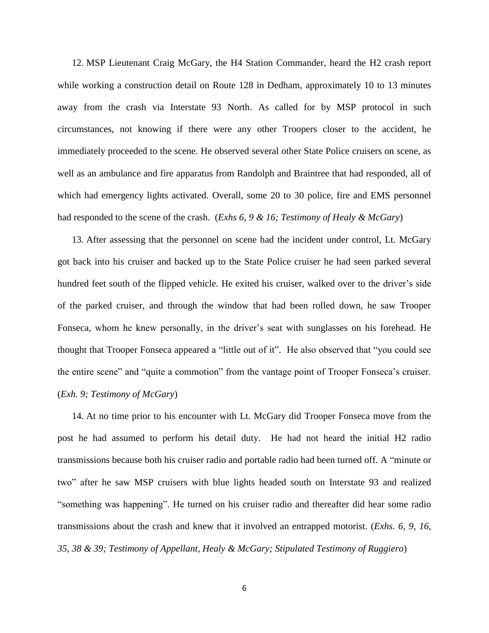12. MSP Lieutenant Craig McGary, the H4 Station Commander, heard the H2 crash report while working a construction detail on Route 128 in Dedham, approximately 10 to 13 minutes away from the crash via Interstate 93 North. As called for by MSP protocol in such circumstances, not knowing if there were any other Troopers closer to the accident, he immediately proceeded to the scene. He observed several other State Police cruisers on scene, as well as an ambulance and fire apparatus from Randolph and Braintree that had responded, all of which had emergency lights activated. Overall, some 20 to 30 police, fire and EMS personnel had responded to the scene of the crash. (*Exhs 6, 9 & 16; Testimony of Healy & McGary*)

13. After assessing that the personnel on scene had the incident under control, Lt. McGary got back into his cruiser and backed up to the State Police cruiser he had seen parked several hundred feet south of the flipped vehicle. He exited his cruiser, walked over to the driver's side of the parked cruiser, and through the window that had been rolled down, he saw Trooper Fonseca, whom he knew personally, in the driver's seat with sunglasses on his forehead. He thought that Trooper Fonseca appeared a "little out of it". He also observed that "you could see the entire scene" and "quite a commotion" from the vantage point of Trooper Fonseca's cruiser. (*Exh. 9; Testimony of McGary*)

14. At no time prior to his encounter with Lt. McGary did Trooper Fonseca move from the post he had assumed to perform his detail duty. He had not heard the initial H2 radio transmissions because both his cruiser radio and portable radio had been turned off. A "minute or two" after he saw MSP cruisers with blue lights headed south on Interstate 93 and realized "something was happening". He turned on his cruiser radio and thereafter did hear some radio transmissions about the crash and knew that it involved an entrapped motorist. (*Exhs. 6, 9, 16, 35, 38 & 39; Testimony of Appellant, Healy & McGary; Stipulated Testimony of Ruggiero*)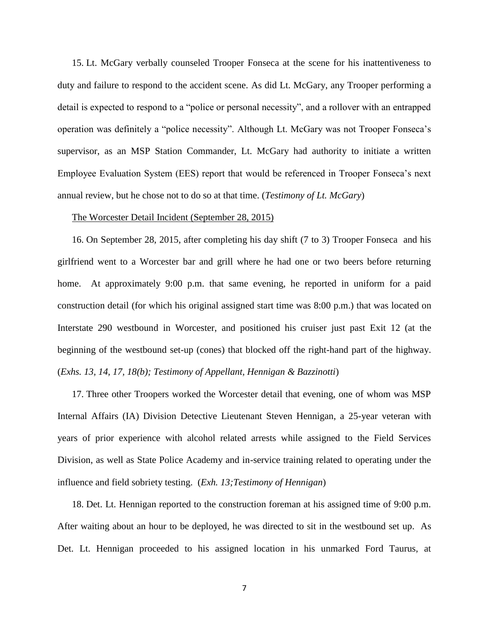15. Lt. McGary verbally counseled Trooper Fonseca at the scene for his inattentiveness to duty and failure to respond to the accident scene. As did Lt. McGary, any Trooper performing a detail is expected to respond to a "police or personal necessity", and a rollover with an entrapped operation was definitely a "police necessity". Although Lt. McGary was not Trooper Fonseca's supervisor, as an MSP Station Commander, Lt. McGary had authority to initiate a written Employee Evaluation System (EES) report that would be referenced in Trooper Fonseca's next annual review, but he chose not to do so at that time. (*Testimony of Lt. McGary*)

# The Worcester Detail Incident (September 28, 2015)

16. On September 28, 2015, after completing his day shift (7 to 3) Trooper Fonseca and his girlfriend went to a Worcester bar and grill where he had one or two beers before returning home. At approximately 9:00 p.m. that same evening, he reported in uniform for a paid construction detail (for which his original assigned start time was 8:00 p.m.) that was located on Interstate 290 westbound in Worcester, and positioned his cruiser just past Exit 12 (at the beginning of the westbound set-up (cones) that blocked off the right-hand part of the highway. (*Exhs. 13, 14, 17, 18(b); Testimony of Appellant, Hennigan & Bazzinotti*)

17. Three other Troopers worked the Worcester detail that evening, one of whom was MSP Internal Affairs (IA) Division Detective Lieutenant Steven Hennigan, a 25-year veteran with years of prior experience with alcohol related arrests while assigned to the Field Services Division, as well as State Police Academy and in-service training related to operating under the influence and field sobriety testing. (*Exh. 13;Testimony of Hennigan*)

18. Det. Lt. Hennigan reported to the construction foreman at his assigned time of 9:00 p.m. After waiting about an hour to be deployed, he was directed to sit in the westbound set up. As Det. Lt. Hennigan proceeded to his assigned location in his unmarked Ford Taurus, at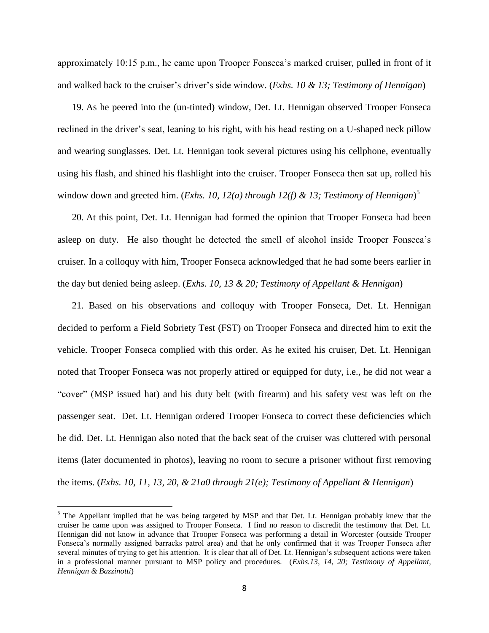approximately 10:15 p.m., he came upon Trooper Fonseca's marked cruiser, pulled in front of it and walked back to the cruiser's driver's side window. (*Exhs. 10 & 13; Testimony of Hennigan*)

19. As he peered into the (un-tinted) window, Det. Lt. Hennigan observed Trooper Fonseca reclined in the driver's seat, leaning to his right, with his head resting on a U-shaped neck pillow and wearing sunglasses. Det. Lt. Hennigan took several pictures using his cellphone, eventually using his flash, and shined his flashlight into the cruiser. Trooper Fonseca then sat up, rolled his window down and greeted him. (*Exhs. 10, 12(a) through 12(f) & 13; Testimony of Hennigan*) 5

20. At this point, Det. Lt. Hennigan had formed the opinion that Trooper Fonseca had been asleep on duty. He also thought he detected the smell of alcohol inside Trooper Fonseca's cruiser. In a colloquy with him, Trooper Fonseca acknowledged that he had some beers earlier in the day but denied being asleep. (*Exhs. 10, 13 & 20; Testimony of Appellant & Hennigan*)

21. Based on his observations and colloquy with Trooper Fonseca, Det. Lt. Hennigan decided to perform a Field Sobriety Test (FST) on Trooper Fonseca and directed him to exit the vehicle. Trooper Fonseca complied with this order. As he exited his cruiser, Det. Lt. Hennigan noted that Trooper Fonseca was not properly attired or equipped for duty, i.e., he did not wear a "cover" (MSP issued hat) and his duty belt (with firearm) and his safety vest was left on the passenger seat. Det. Lt. Hennigan ordered Trooper Fonseca to correct these deficiencies which he did. Det. Lt. Hennigan also noted that the back seat of the cruiser was cluttered with personal items (later documented in photos), leaving no room to secure a prisoner without first removing the items. (*Exhs. 10, 11, 13, 20, & 21a0 through 21(e); Testimony of Appellant & Hennigan*)

 $\overline{\phantom{a}}$ 

 $<sup>5</sup>$  The Appellant implied that he was being targeted by MSP and that Det. Lt. Hennigan probably knew that the</sup> cruiser he came upon was assigned to Trooper Fonseca. I find no reason to discredit the testimony that Det. Lt. Hennigan did not know in advance that Trooper Fonseca was performing a detail in Worcester (outside Trooper Fonseca's normally assigned barracks patrol area) and that he only confirmed that it was Trooper Fonseca after several minutes of trying to get his attention. It is clear that all of Det. Lt. Hennigan's subsequent actions were taken in a professional manner pursuant to MSP policy and procedures. (*Exhs.13, 14, 20; Testimony of Appellant, Hennigan & Bazzinotti*)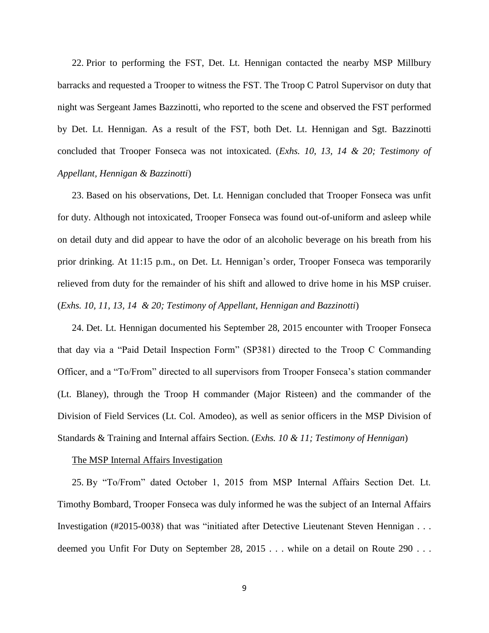22. Prior to performing the FST, Det. Lt. Hennigan contacted the nearby MSP Millbury barracks and requested a Trooper to witness the FST. The Troop C Patrol Supervisor on duty that night was Sergeant James Bazzinotti, who reported to the scene and observed the FST performed by Det. Lt. Hennigan. As a result of the FST, both Det. Lt. Hennigan and Sgt. Bazzinotti concluded that Trooper Fonseca was not intoxicated. (*Exhs. 10, 13, 14 & 20; Testimony of Appellant, Hennigan & Bazzinotti*)

23. Based on his observations, Det. Lt. Hennigan concluded that Trooper Fonseca was unfit for duty. Although not intoxicated, Trooper Fonseca was found out-of-uniform and asleep while on detail duty and did appear to have the odor of an alcoholic beverage on his breath from his prior drinking. At 11:15 p.m., on Det. Lt. Hennigan's order, Trooper Fonseca was temporarily relieved from duty for the remainder of his shift and allowed to drive home in his MSP cruiser. (*Exhs. 10, 11, 13, 14 & 20; Testimony of Appellant, Hennigan and Bazzinotti*)

24. Det. Lt. Hennigan documented his September 28, 2015 encounter with Trooper Fonseca that day via a "Paid Detail Inspection Form" (SP381) directed to the Troop C Commanding Officer, and a "To/From" directed to all supervisors from Trooper Fonseca's station commander (Lt. Blaney), through the Troop H commander (Major Risteen) and the commander of the Division of Field Services (Lt. Col. Amodeo), as well as senior officers in the MSP Division of Standards & Training and Internal affairs Section. (*Exhs. 10 & 11; Testimony of Hennigan*)

#### The MSP Internal Affairs Investigation

25. By "To/From" dated October 1, 2015 from MSP Internal Affairs Section Det. Lt. Timothy Bombard, Trooper Fonseca was duly informed he was the subject of an Internal Affairs Investigation (#2015-0038) that was "initiated after Detective Lieutenant Steven Hennigan . . . deemed you Unfit For Duty on September 28, 2015 . . . while on a detail on Route 290 . . .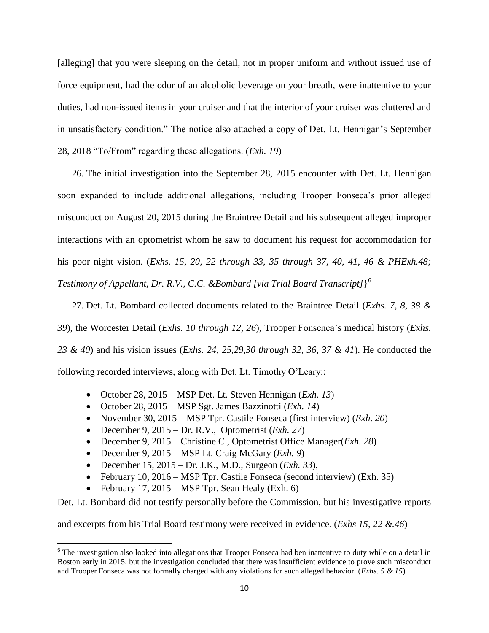[alleging] that you were sleeping on the detail, not in proper uniform and without issued use of force equipment, had the odor of an alcoholic beverage on your breath, were inattentive to your duties, had non-issued items in your cruiser and that the interior of your cruiser was cluttered and in unsatisfactory condition." The notice also attached a copy of Det. Lt. Hennigan's September 28, 2018 "To/From" regarding these allegations. (*Exh. 19*)

26. The initial investigation into the September 28, 2015 encounter with Det. Lt. Hennigan soon expanded to include additional allegations, including Trooper Fonseca's prior alleged misconduct on August 20, 2015 during the Braintree Detail and his subsequent alleged improper interactions with an optometrist whom he saw to document his request for accommodation for his poor night vision. (*Exhs. 15, 20, 22 through 33, 35 through 37, 40, 41, 46 & PHExh.48; Testimony of Appellant, Dr. R.V., C.C. &Bombard [via Trial Board Transcript]*} 6

27. Det. Lt. Bombard collected documents related to the Braintree Detail (*Exhs. 7, 8, 38 & 39*), the Worcester Detail (*Exhs. 10 through 12, 26*), Trooper Fonsenca's medical history (*Exhs. 23 & 40*) and his vision issues (*Exhs. 24, 25,29,30 through 32, 36, 37 & 41*). He conducted the following recorded interviews, along with Det. Lt. Timothy O'Leary::

- October 28, 2015 MSP Det. Lt. Steven Hennigan (*Exh. 13*)
- October 28, 2015 MSP Sgt. James Bazzinotti (*Exh. 14*)
- November 30, 2015 MSP Tpr. Castile Fonseca (first interview) (*Exh. 20*)
- **•** December 9, 2015 Dr. R.V., Optometrist  $(Exh. 27)$
- December 9, 2015 Christine C., Optometrist Office Manager(*Exh. 28*)
- December 9, 2015 MSP Lt. Craig McGary (*Exh. 9*)
- December 15, 2015 Dr. J.K., M.D., Surgeon (*Exh. 33*),
- February 10, 2016 MSP Tpr. Castile Fonseca (second interview) (Exh. 35)
- February 17, 2015 MSP Tpr. Sean Healy (Exh. 6)

Det. Lt. Bombard did not testify personally before the Commission, but his investigative reports

and excerpts from his Trial Board testimony were received in evidence. (*Exhs 15, 22 &.46*)

 $\overline{\phantom{a}}$  $6$  The investigation also looked into allegations that Trooper Fonseca had ben inattentive to duty while on a detail in Boston early in 2015, but the investigation concluded that there was insufficient evidence to prove such misconduct and Trooper Fonseca was not formally charged with any violations for such alleged behavior. (*Exhs. 5 & 15*)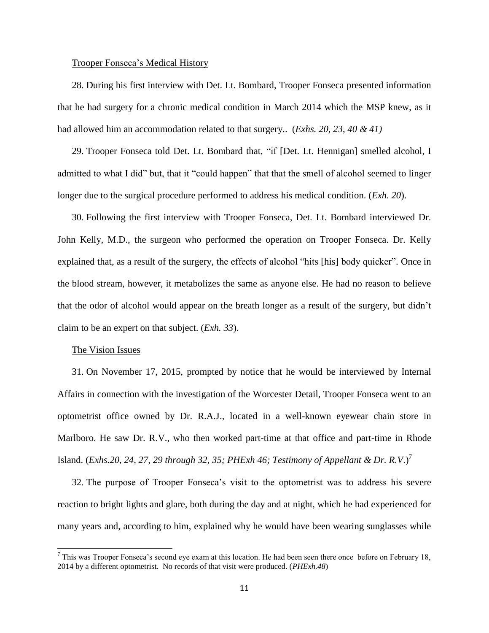### Trooper Fonseca's Medical History

28. During his first interview with Det. Lt. Bombard, Trooper Fonseca presented information that he had surgery for a chronic medical condition in March 2014 which the MSP knew, as it had allowed him an accommodation related to that surgery.. (*Exhs. 20, 23, 40 & 41)*

29. Trooper Fonseca told Det. Lt. Bombard that, "if [Det. Lt. Hennigan] smelled alcohol, I admitted to what I did" but, that it "could happen" that that the smell of alcohol seemed to linger longer due to the surgical procedure performed to address his medical condition. (*Exh. 20*).

30. Following the first interview with Trooper Fonseca, Det. Lt. Bombard interviewed Dr. John Kelly, M.D., the surgeon who performed the operation on Trooper Fonseca. Dr. Kelly explained that, as a result of the surgery, the effects of alcohol "hits [his] body quicker". Once in the blood stream, however, it metabolizes the same as anyone else. He had no reason to believe that the odor of alcohol would appear on the breath longer as a result of the surgery, but didn't claim to be an expert on that subject. (*Exh. 33*).

#### The Vision Issues

 $\overline{\phantom{a}}$ 

31. On November 17, 2015, prompted by notice that he would be interviewed by Internal Affairs in connection with the investigation of the Worcester Detail, Trooper Fonseca went to an optometrist office owned by Dr. R.A.J., located in a well-known eyewear chain store in Marlboro. He saw Dr. R.V., who then worked part-time at that office and part-time in Rhode Island. (*Exhs.20, 24, 27, 29 through 32, 35; PHExh 46; Testimony of Appellant & Dr. R.V.*)<sup>7</sup>

32. The purpose of Trooper Fonseca's visit to the optometrist was to address his severe reaction to bright lights and glare, both during the day and at night, which he had experienced for many years and, according to him, explained why he would have been wearing sunglasses while

 $^7$  This was Trooper Fonseca's second eye exam at this location. He had been seen there once before on February 18, 2014 by a different optometrist. No records of that visit were produced. (*PHExh.48*)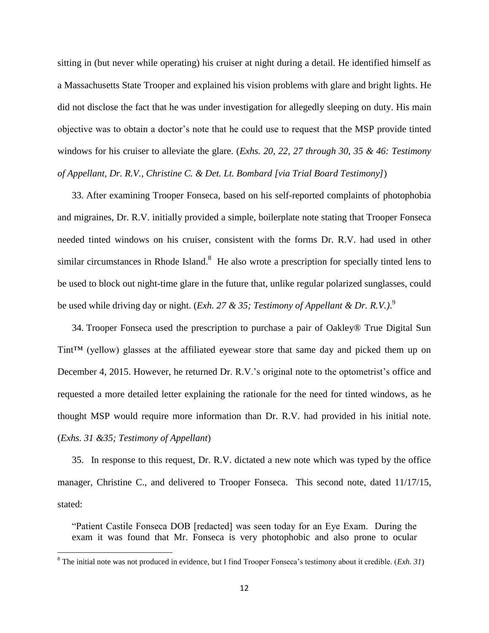sitting in (but never while operating) his cruiser at night during a detail. He identified himself as a Massachusetts State Trooper and explained his vision problems with glare and bright lights. He did not disclose the fact that he was under investigation for allegedly sleeping on duty. His main objective was to obtain a doctor's note that he could use to request that the MSP provide tinted windows for his cruiser to alleviate the glare. (*Exhs. 20, 22, 27 through 30, 35 & 46: Testimony of Appellant, Dr. R.V., Christine C. & Det. Lt. Bombard [via Trial Board Testimony]*)

33. After examining Trooper Fonseca, based on his self-reported complaints of photophobia and migraines, Dr. R.V. initially provided a simple, boilerplate note stating that Trooper Fonseca needed tinted windows on his cruiser, consistent with the forms Dr. R.V. had used in other similar circumstances in Rhode Island.<sup>8</sup> He also wrote a prescription for specially tinted lens to be used to block out night-time glare in the future that, unlike regular polarized sunglasses, could be used while driving day or night. (*Exh. 27 & 35; Testimony of Appellant & Dr. R.V.)*. 9

34. Trooper Fonseca used the prescription to purchase a pair of Oakley® True Digital Sun Tint™ (yellow) glasses at the affiliated eyewear store that same day and picked them up on December 4, 2015. However, he returned Dr. R.V.'s original note to the optometrist's office and requested a more detailed letter explaining the rationale for the need for tinted windows, as he thought MSP would require more information than Dr. R.V. had provided in his initial note. (*Exhs. 31 &35; Testimony of Appellant*)

35. In response to this request, Dr. R.V. dictated a new note which was typed by the office manager, Christine C., and delivered to Trooper Fonseca. This second note, dated 11/17/15, stated:

"Patient Castile Fonseca DOB [redacted] was seen today for an Eye Exam. During the exam it was found that Mr. Fonseca is very photophobic and also prone to ocular

 $\overline{\phantom{a}}$ 

<sup>8</sup> The initial note was not produced in evidence, but I find Trooper Fonseca's testimony about it credible. (*Exh. 31*)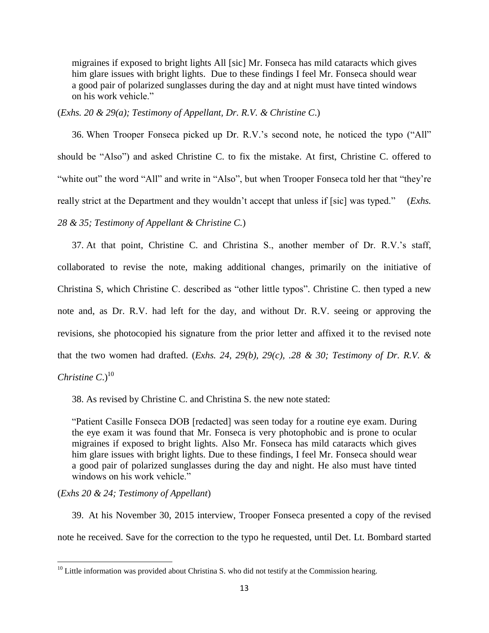migraines if exposed to bright lights All [sic] Mr. Fonseca has mild cataracts which gives him glare issues with bright lights. Due to these findings I feel Mr. Fonseca should wear a good pair of polarized sunglasses during the day and at night must have tinted windows on his work vehicle."

(*Exhs. 20 & 29(a); Testimony of Appellant, Dr. R.V. & Christine C*.)

36. When Trooper Fonseca picked up Dr. R.V.'s second note, he noticed the typo ("All" should be "Also") and asked Christine C. to fix the mistake. At first, Christine C. offered to "white out" the word "All" and write in "Also", but when Trooper Fonseca told her that "they're really strict at the Department and they wouldn't accept that unless if [sic] was typed." (*Exhs. 28 & 35; Testimony of Appellant & Christine C.*)

37. At that point, Christine C. and Christina S., another member of Dr. R.V.'s staff, collaborated to revise the note, making additional changes, primarily on the initiative of Christina S, which Christine C. described as "other little typos". Christine C. then typed a new note and, as Dr. R.V. had left for the day, and without Dr. R.V. seeing or approving the revisions, she photocopied his signature from the prior letter and affixed it to the revised note that the two women had drafted. (*Exhs. 24, 29(b), 29(c), .28 & 30; Testimony of Dr. R.V. & Christine*  $C<sub>1</sub><sup>10</sup>$ 

38. As revised by Christine C. and Christina S. the new note stated:

"Patient Casille Fonseca DOB [redacted] was seen today for a routine eye exam. During the eye exam it was found that Mr. Fonseca is very photophobic and is prone to ocular migraines if exposed to bright lights. Also Mr. Fonseca has mild cataracts which gives him glare issues with bright lights. Due to these findings, I feel Mr. Fonseca should wear a good pair of polarized sunglasses during the day and night. He also must have tinted windows on his work vehicle."

# (*Exhs 20 & 24; Testimony of Appellant*)

 $\overline{\phantom{a}}$ 

39. At his November 30, 2015 interview, Trooper Fonseca presented a copy of the revised note he received. Save for the correction to the typo he requested, until Det. Lt. Bombard started

 $10$  Little information was provided about Christina S. who did not testify at the Commission hearing.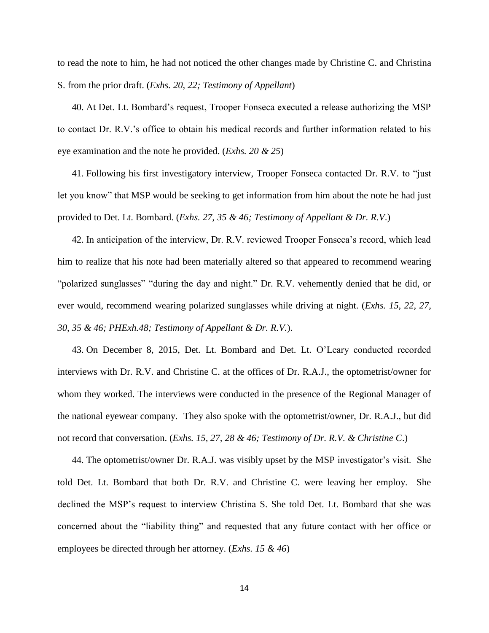to read the note to him, he had not noticed the other changes made by Christine C. and Christina S. from the prior draft. (*Exhs. 20, 22; Testimony of Appellant*)

40. At Det. Lt. Bombard's request, Trooper Fonseca executed a release authorizing the MSP to contact Dr. R.V.'s office to obtain his medical records and further information related to his eye examination and the note he provided. (*Exhs. 20 & 25*)

41. Following his first investigatory interview, Trooper Fonseca contacted Dr. R.V. to "just let you know" that MSP would be seeking to get information from him about the note he had just provided to Det. Lt. Bombard. (*Exhs. 27, 35 & 46; Testimony of Appellant & Dr. R.V*.)

42. In anticipation of the interview, Dr. R.V. reviewed Trooper Fonseca's record, which lead him to realize that his note had been materially altered so that appeared to recommend wearing "polarized sunglasses" "during the day and night." Dr. R.V. vehemently denied that he did, or ever would, recommend wearing polarized sunglasses while driving at night. (*Exhs. 15, 22, 27, 30, 35 & 46; PHExh.48; Testimony of Appellant & Dr. R.V.*).

43. On December 8, 2015, Det. Lt. Bombard and Det. Lt. O'Leary conducted recorded interviews with Dr. R.V. and Christine C. at the offices of Dr. R.A.J., the optometrist/owner for whom they worked. The interviews were conducted in the presence of the Regional Manager of the national eyewear company. They also spoke with the optometrist/owner, Dr. R.A.J., but did not record that conversation. (*Exhs. 15, 27, 28 & 46; Testimony of Dr. R.V. & Christine C*.)

44. The optometrist/owner Dr. R.A.J. was visibly upset by the MSP investigator's visit. She told Det. Lt. Bombard that both Dr. R.V. and Christine C. were leaving her employ. She declined the MSP's request to interview Christina S. She told Det. Lt. Bombard that she was concerned about the "liability thing" and requested that any future contact with her office or employees be directed through her attorney. (*Exhs. 15 & 46*)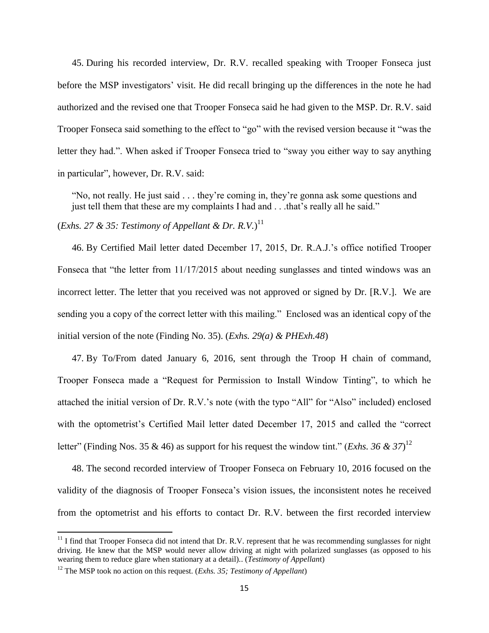45. During his recorded interview, Dr. R.V. recalled speaking with Trooper Fonseca just before the MSP investigators' visit. He did recall bringing up the differences in the note he had authorized and the revised one that Trooper Fonseca said he had given to the MSP. Dr. R.V. said Trooper Fonseca said something to the effect to "go" with the revised version because it "was the letter they had.". When asked if Trooper Fonseca tried to "sway you either way to say anything in particular", however, Dr. R.V. said:

"No, not really. He just said . . . they're coming in, they're gonna ask some questions and just tell them that these are my complaints I had and . . .that's really all he said."

(*Exhs. 27 & 35: Testimony of Appellant & Dr. R.V.*) 11

46. By Certified Mail letter dated December 17, 2015, Dr. R.A.J.'s office notified Trooper Fonseca that "the letter from 11/17/2015 about needing sunglasses and tinted windows was an incorrect letter. The letter that you received was not approved or signed by Dr. [R.V.]. We are sending you a copy of the correct letter with this mailing." Enclosed was an identical copy of the initial version of the note (Finding No. 35). (*Exhs. 29(a) & PHExh.48*)

47. By To/From dated January 6, 2016, sent through the Troop H chain of command, Trooper Fonseca made a "Request for Permission to Install Window Tinting", to which he attached the initial version of Dr. R.V.'s note (with the typo "All" for "Also" included) enclosed with the optometrist's Certified Mail letter dated December 17, 2015 and called the "correct letter" (Finding Nos. 35 & 46) as support for his request the window tint." (*Exhs. 36 & 37*)<sup>12</sup>

48. The second recorded interview of Trooper Fonseca on February 10, 2016 focused on the validity of the diagnosis of Trooper Fonseca's vision issues, the inconsistent notes he received from the optometrist and his efforts to contact Dr. R.V. between the first recorded interview

 $\overline{a}$ 

 $11$  I find that Trooper Fonseca did not intend that Dr. R.V. represent that he was recommending sunglasses for night driving. He knew that the MSP would never allow driving at night with polarized sunglasses (as opposed to his wearing them to reduce glare when stationary at a detail).. (*Testimony of Appellan*t)

<sup>12</sup> The MSP took no action on this request. (*Exhs. 35; Testimony of Appellant*)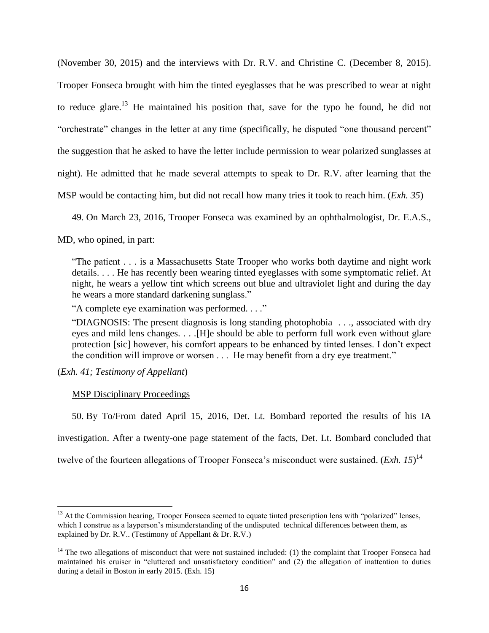(November 30, 2015) and the interviews with Dr. R.V. and Christine C. (December 8, 2015). Trooper Fonseca brought with him the tinted eyeglasses that he was prescribed to wear at night to reduce glare.<sup>13</sup> He maintained his position that, save for the typo he found, he did not "orchestrate" changes in the letter at any time (specifically, he disputed "one thousand percent" the suggestion that he asked to have the letter include permission to wear polarized sunglasses at night). He admitted that he made several attempts to speak to Dr. R.V. after learning that the MSP would be contacting him, but did not recall how many tries it took to reach him. (*Exh. 35*)

49. On March 23, 2016, Trooper Fonseca was examined by an ophthalmologist, Dr. E.A.S.,

MD, who opined, in part:

"The patient . . . is a Massachusetts State Trooper who works both daytime and night work details. . . . He has recently been wearing tinted eyeglasses with some symptomatic relief. At night, he wears a yellow tint which screens out blue and ultraviolet light and during the day he wears a more standard darkening sunglass."

"A complete eye examination was performed. . . ."

"DIAGNOSIS: The present diagnosis is long standing photophobia . . ., associated with dry eyes and mild lens changes. . . .[H]e should be able to perform full work even without glare protection [sic] however, his comfort appears to be enhanced by tinted lenses. I don't expect the condition will improve or worsen . . . He may benefit from a dry eye treatment."

(*Exh. 41; Testimony of Appellant*)

 $\overline{\phantom{a}}$ 

## MSP Disciplinary Proceedings

50. By To/From dated April 15, 2016, Det. Lt. Bombard reported the results of his IA

investigation. After a twenty-one page statement of the facts, Det. Lt. Bombard concluded that

twelve of the fourteen allegations of Trooper Fonseca's misconduct were sustained. (*Exh. 15*) 14

<sup>&</sup>lt;sup>13</sup> At the Commission hearing, Trooper Fonseca seemed to equate tinted prescription lens with "polarized" lenses, which I construe as a layperson's misunderstanding of the undisputed technical differences between them, as explained by Dr. R.V.. (Testimony of Appellant & Dr. R.V.)

 $14$  The two allegations of misconduct that were not sustained included: (1) the complaint that Trooper Fonseca had maintained his cruiser in "cluttered and unsatisfactory condition" and (2) the allegation of inattention to duties during a detail in Boston in early 2015. (Exh. 15)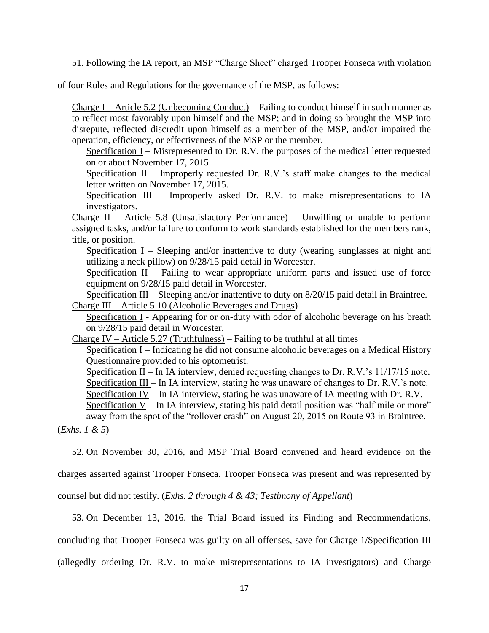51. Following the IA report, an MSP "Charge Sheet" charged Trooper Fonseca with violation

of four Rules and Regulations for the governance of the MSP, as follows:

Charge I – Article 5.2 (Unbecoming Conduct) – Failing to conduct himself in such manner as to reflect most favorably upon himself and the MSP; and in doing so brought the MSP into disrepute, reflected discredit upon himself as a member of the MSP, and/or impaired the operation, efficiency, or effectiveness of the MSP or the member.

Specification I – Misrepresented to Dr. R.V. the purposes of the medical letter requested on or about November 17, 2015

Specification  $II$  – Improperly requested Dr. R.V.'s staff make changes to the medical letter written on November 17, 2015.

Specification III – Improperly asked Dr. R.V. to make misrepresentations to IA investigators.

Charge II – Article 5.8 (Unsatisfactory Performance) – Unwilling or unable to perform assigned tasks, and/or failure to conform to work standards established for the members rank, title, or position.

Specification I – Sleeping and/or inattentive to duty (wearing sunglasses at night and utilizing a neck pillow) on 9/28/15 paid detail in Worcester.

Specification  $II$  – Failing to wear appropriate uniform parts and issued use of force equipment on 9/28/15 paid detail in Worcester.

Specification III – Sleeping and/or inattentive to duty on 8/20/15 paid detail in Braintree. Charge III – Article 5.10 (Alcoholic Beverages and Drugs)

Specification I - Appearing for or on-duty with odor of alcoholic beverage on his breath on 9/28/15 paid detail in Worcester.

Charge IV – Article 5.27 (Truthfulness) – Failing to be truthful at all times

Specification I – Indicating he did not consume alcoholic beverages on a Medical History Questionnaire provided to his optometrist.

Specification II – In IA interview, denied requesting changes to Dr. R.V.'s 11/17/15 note. Specification III – In IA interview, stating he was unaware of changes to Dr. R.V.'s note.

Specification IV – In IA interview, stating he was unaware of IA meeting with Dr. R.V. Specification V – In IA interview, stating his paid detail position was "half mile or more"

away from the spot of the "rollover crash" on August 20, 2015 on Route 93 in Braintree.

(*Exhs. 1 & 5*)

52. On November 30, 2016, and MSP Trial Board convened and heard evidence on the

charges asserted against Trooper Fonseca. Trooper Fonseca was present and was represented by

counsel but did not testify. (*Exhs. 2 through 4 & 43; Testimony of Appellant*)

53. On December 13, 2016, the Trial Board issued its Finding and Recommendations,

concluding that Trooper Fonseca was guilty on all offenses, save for Charge 1/Specification III

(allegedly ordering Dr. R.V. to make misrepresentations to IA investigators) and Charge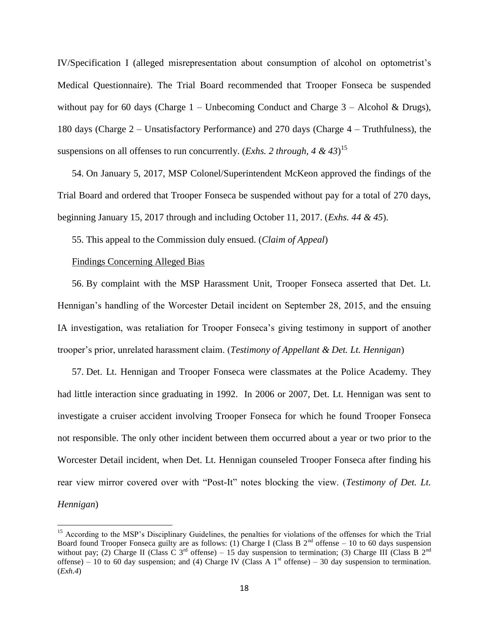IV/Specification I (alleged misrepresentation about consumption of alcohol on optometrist's Medical Questionnaire). The Trial Board recommended that Trooper Fonseca be suspended without pay for 60 days (Charge  $1$  – Unbecoming Conduct and Charge  $3$  – Alcohol & Drugs), 180 days (Charge 2 – Unsatisfactory Performance) and 270 days (Charge 4 – Truthfulness), the suspensions on all offenses to run concurrently. (*Exhs. 2 through, 4 & 43*) 15

54. On January 5, 2017, MSP Colonel/Superintendent McKeon approved the findings of the Trial Board and ordered that Trooper Fonseca be suspended without pay for a total of 270 days, beginning January 15, 2017 through and including October 11, 2017. (*Exhs. 44 & 45*).

55. This appeal to the Commission duly ensued. (*Claim of Appeal*)

#### Findings Concerning Alleged Bias

 $\overline{a}$ 

56. By complaint with the MSP Harassment Unit, Trooper Fonseca asserted that Det. Lt. Hennigan's handling of the Worcester Detail incident on September 28, 2015, and the ensuing IA investigation, was retaliation for Trooper Fonseca's giving testimony in support of another trooper's prior, unrelated harassment claim. (*Testimony of Appellant & Det. Lt. Hennigan*)

57. Det. Lt. Hennigan and Trooper Fonseca were classmates at the Police Academy. They had little interaction since graduating in 1992. In 2006 or 2007, Det. Lt. Hennigan was sent to investigate a cruiser accident involving Trooper Fonseca for which he found Trooper Fonseca not responsible. The only other incident between them occurred about a year or two prior to the Worcester Detail incident, when Det. Lt. Hennigan counseled Trooper Fonseca after finding his rear view mirror covered over with "Post-It" notes blocking the view. (*Testimony of Det. Lt. Hennigan*)

<sup>&</sup>lt;sup>15</sup> According to the MSP's Disciplinary Guidelines, the penalties for violations of the offenses for which the Trial Board found Trooper Fonseca guilty are as follows: (1) Charge I (Class B  $2<sup>nd</sup>$  offense – 10 to 60 days suspension without pay; (2) Charge II (Class C 3<sup>rd</sup> offense) – 15 day suspension to termination; (3) Charge III (Class B 2<sup>nd</sup> offense) – 10 to 60 day suspension; and (4) Charge IV (Class A 1<sup>st</sup> offense) – 30 day suspension to termination. (*Exh.4*)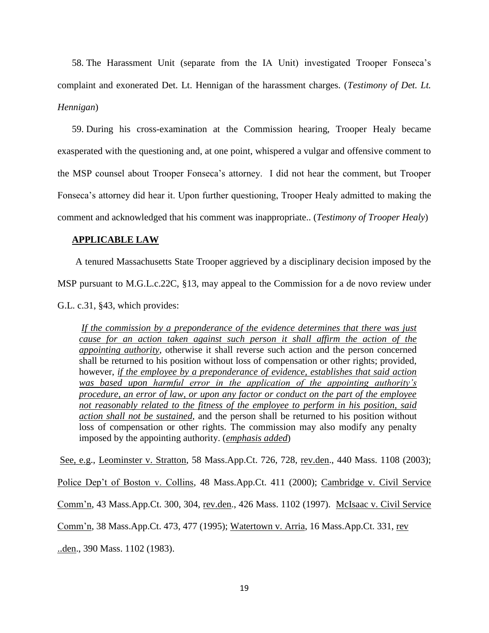58. The Harassment Unit (separate from the IA Unit) investigated Trooper Fonseca's complaint and exonerated Det. Lt. Hennigan of the harassment charges. (*Testimony of Det. Lt. Hennigan*)

59. During his cross-examination at the Commission hearing, Trooper Healy became exasperated with the questioning and, at one point, whispered a vulgar and offensive comment to the MSP counsel about Trooper Fonseca's attorney. I did not hear the comment, but Trooper Fonseca's attorney did hear it. Upon further questioning, Trooper Healy admitted to making the comment and acknowledged that his comment was inappropriate.. (*Testimony of Trooper Healy*)

#### **APPLICABLE LAW**

A tenured Massachusetts State Trooper aggrieved by a disciplinary decision imposed by the MSP pursuant to M.G.L.c.22C, §13, may appeal to the Commission for a de novo review under

G.L. c.31, §43, which provides:

*If the commission by a preponderance of the evidence determines that there was just cause for an action taken against such person it shall affirm the action of the appointing authority*, otherwise it shall reverse such action and the person concerned shall be returned to his position without loss of compensation or other rights; provided, however, *if the employee by a preponderance of evidence, establishes that said action was based upon harmful error in the application of the appointing authority's procedure, an error of law, or upon any factor or conduct on the part of the employee not reasonably related to the fitness of the employee to perform in his position, said action shall not be sustained*, and the person shall be returned to his position without loss of compensation or other rights. The commission may also modify any penalty imposed by the appointing authority. (*emphasis added*)

See, e.g., Leominster v. Stratton, 58 Mass.App.Ct. 726, 728, rev.den., 440 Mass. 1108 (2003);

Police Dep't of Boston v. Collins, 48 Mass.App.Ct. 411 (2000); Cambridge v. Civil Service

Comm'n, 43 Mass.App.Ct. 300, 304, rev.den., 426 Mass. 1102 (1997). McIsaac v. Civil Service

Comm'n, 38 Mass.App.Ct. 473, 477 (1995); Watertown v. Arria, 16 Mass.App.Ct. 331, rev

..den., 390 Mass. 1102 (1983).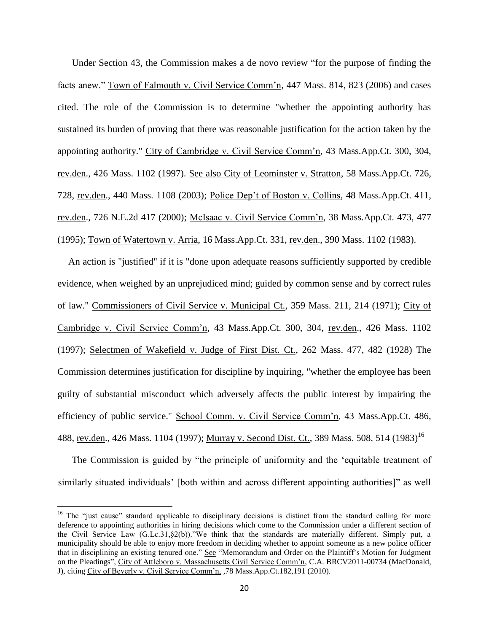Under Section 43, the Commission makes a de novo review "for the purpose of finding the facts anew." Town of Falmouth v. Civil Service Comm'n, 447 Mass. 814, 823 (2006) and cases cited. The role of the Commission is to determine "whether the appointing authority has sustained its burden of proving that there was reasonable justification for the action taken by the appointing authority." City of Cambridge v. Civil Service Comm'n, 43 Mass.App.Ct. 300, 304, rev.den., 426 Mass. 1102 (1997). See also City of Leominster v. Stratton, 58 Mass.App.Ct. 726, 728, rev.den., 440 Mass. 1108 (2003); Police Dep't of Boston v. Collins, 48 Mass.App.Ct. 411, rev.den., 726 N.E.2d 417 (2000); McIsaac v. Civil Service Comm'n, 38 Mass.App.Ct. 473, 477 (1995); Town of Watertown v. Arria, 16 Mass.App.Ct. 331, rev.den., 390 Mass. 1102 (1983).

An action is "justified" if it is "done upon adequate reasons sufficiently supported by credible evidence, when weighed by an unprejudiced mind; guided by common sense and by correct rules of law." Commissioners of Civil Service v. Municipal Ct., 359 Mass. 211, 214 (1971); City of Cambridge v. Civil Service Comm'n, 43 Mass.App.Ct. 300, 304, rev.den., 426 Mass. 1102 (1997); Selectmen of Wakefield v. Judge of First Dist. Ct., 262 Mass. 477, 482 (1928) The Commission determines justification for discipline by inquiring, "whether the employee has been guilty of substantial misconduct which adversely affects the public interest by impairing the efficiency of public service." School Comm. v. Civil Service Comm'n, 43 Mass.App.Ct. 486, 488, rev.den., 426 Mass. 1104 (1997); Murray v. Second Dist. Ct., 389 Mass. 508, 514 (1983)<sup>16</sup>

The Commission is guided by "the principle of uniformity and the 'equitable treatment of similarly situated individuals' [both within and across different appointing authorities]" as well

 $\overline{\phantom{a}}$ 

<sup>&</sup>lt;sup>16</sup> The "just cause" standard applicable to disciplinary decisions is distinct from the standard calling for more deference to appointing authorities in hiring decisions which come to the Commission under a different section of the Civil Service Law (G.Lc.31,§2(b))."We think that the standards are materially different. Simply put, a municipality should be able to enjoy more freedom in deciding whether to appoint someone as a new police officer that in disciplining an existing tenured one." See "Memorandum and Order on the Plaintiff's Motion for Judgment on the Pleadings", City of Attleboro v. Massachusetts Civil Service Comm'n, C.A. BRCV2011-00734 (MacDonald, J), citing City of Beverly v. Civil Service Comm'n, ,78 Mass.App.Ct.182,191 (2010).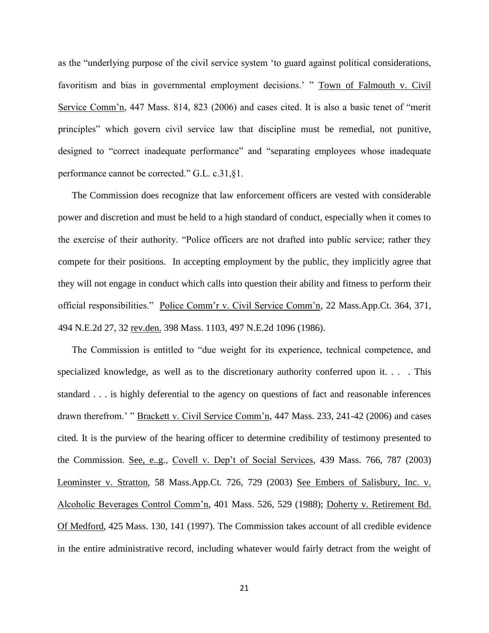as the "underlying purpose of the civil service system 'to guard against political considerations, favoritism and bias in governmental employment decisions.' " Town of Falmouth v. Civil Service Comm'n, 447 Mass. 814, 823 (2006) and cases cited. It is also a basic tenet of "merit principles" which govern civil service law that discipline must be remedial, not punitive, designed to "correct inadequate performance" and "separating employees whose inadequate performance cannot be corrected." G.L. c.31,§1.

The Commission does recognize that law enforcement officers are vested with considerable power and discretion and must be held to a high standard of conduct, especially when it comes to the exercise of their authority. "Police officers are not drafted into public service; rather they compete for their positions. In accepting employment by the public, they implicitly agree that they will not engage in conduct which calls into question their ability and fitness to perform their official responsibilities." Police Comm'r v. Civil Service Comm'n, 22 Mass.App.Ct. 364, 371, 494 N.E.2d 27, 32 rev.den. 398 Mass. 1103, 497 N.E.2d 1096 (1986).

The Commission is entitled to "due weight for its experience, technical competence, and specialized knowledge, as well as to the discretionary authority conferred upon it. . . . This standard . . . is highly deferential to the agency on questions of fact and reasonable inferences drawn therefrom.' " Brackett v. Civil Service Comm'n, 447 Mass. 233, 241-42 (2006) and cases cited. It is the purview of the hearing officer to determine credibility of testimony presented to the Commission. See, e..g., Covell v. Dep't of Social Services, 439 Mass. 766, 787 (2003) Leominster v. Stratton, 58 Mass.App.Ct. 726, 729 (2003) See Embers of Salisbury, Inc. v. Alcoholic Beverages Control Comm'n, 401 Mass. 526, 529 (1988); Doherty v. Retirement Bd. Of Medford, 425 Mass. 130, 141 (1997). The Commission takes account of all credible evidence in the entire administrative record, including whatever would fairly detract from the weight of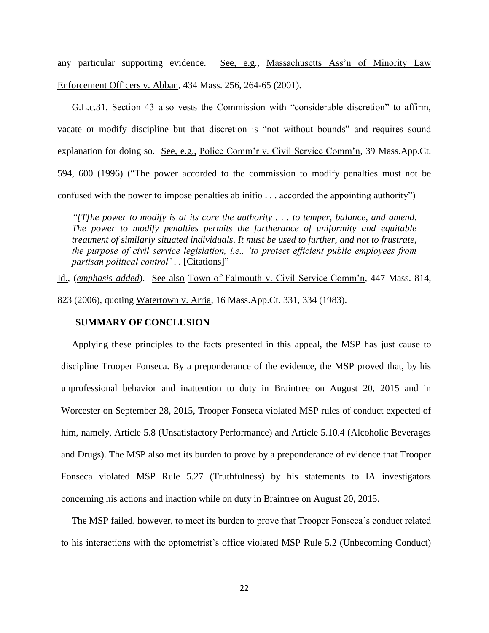any particular supporting evidence. See, e.g., Massachusetts Ass'n of Minority Law Enforcement Officers v. Abban, 434 Mass. 256, 264-65 (2001).

G.L.c.31, Section 43 also vests the Commission with "considerable discretion" to affirm, vacate or modify discipline but that discretion is "not without bounds" and requires sound explanation for doing so. See, e.g., Police Comm'r v. Civil Service Comm'n, 39 Mass.App.Ct. 594, 600 (1996) ("The power accorded to the commission to modify penalties must not be confused with the power to impose penalties ab initio . . . accorded the appointing authority")

*"[T]he power to modify is at its core the authority . . . to temper, balance, and amend*. *The power to modify penalties permits the furtherance of uniformity and equitable treatment of similarly situated individuals*. *It must be used to further, and not to frustrate, the purpose of civil service legislation, i.e., 'to protect efficient public employees from partisan political control'* . . [Citations]"

Id., (*emphasis added*). See also Town of Falmouth v. Civil Service Comm'n, 447 Mass. 814, 823 (2006), quoting Watertown v. Arria, 16 Mass.App.Ct. 331, 334 (1983).

### **SUMMARY OF CONCLUSION**

Applying these principles to the facts presented in this appeal, the MSP has just cause to discipline Trooper Fonseca. By a preponderance of the evidence, the MSP proved that, by his unprofessional behavior and inattention to duty in Braintree on August 20, 2015 and in Worcester on September 28, 2015, Trooper Fonseca violated MSP rules of conduct expected of him, namely, Article 5.8 (Unsatisfactory Performance) and Article 5.10.4 (Alcoholic Beverages and Drugs). The MSP also met its burden to prove by a preponderance of evidence that Trooper Fonseca violated MSP Rule 5.27 (Truthfulness) by his statements to IA investigators concerning his actions and inaction while on duty in Braintree on August 20, 2015.

The MSP failed, however, to meet its burden to prove that Trooper Fonseca's conduct related to his interactions with the optometrist's office violated MSP Rule 5.2 (Unbecoming Conduct)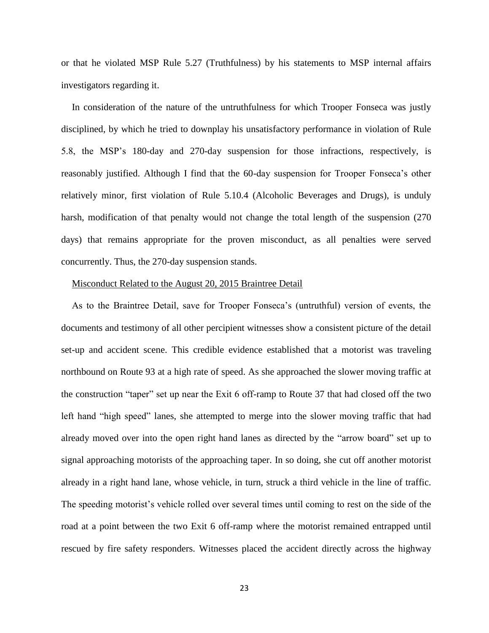or that he violated MSP Rule 5.27 (Truthfulness) by his statements to MSP internal affairs investigators regarding it.

In consideration of the nature of the untruthfulness for which Trooper Fonseca was justly disciplined, by which he tried to downplay his unsatisfactory performance in violation of Rule 5.8, the MSP's 180-day and 270-day suspension for those infractions, respectively, is reasonably justified. Although I find that the 60-day suspension for Trooper Fonseca's other relatively minor, first violation of Rule 5.10.4 (Alcoholic Beverages and Drugs), is unduly harsh, modification of that penalty would not change the total length of the suspension (270 days) that remains appropriate for the proven misconduct, as all penalties were served concurrently. Thus, the 270-day suspension stands.

#### Misconduct Related to the August 20, 2015 Braintree Detail

As to the Braintree Detail, save for Trooper Fonseca's (untruthful) version of events, the documents and testimony of all other percipient witnesses show a consistent picture of the detail set-up and accident scene. This credible evidence established that a motorist was traveling northbound on Route 93 at a high rate of speed. As she approached the slower moving traffic at the construction "taper" set up near the Exit 6 off-ramp to Route 37 that had closed off the two left hand "high speed" lanes, she attempted to merge into the slower moving traffic that had already moved over into the open right hand lanes as directed by the "arrow board" set up to signal approaching motorists of the approaching taper. In so doing, she cut off another motorist already in a right hand lane, whose vehicle, in turn, struck a third vehicle in the line of traffic. The speeding motorist's vehicle rolled over several times until coming to rest on the side of the road at a point between the two Exit 6 off-ramp where the motorist remained entrapped until rescued by fire safety responders. Witnesses placed the accident directly across the highway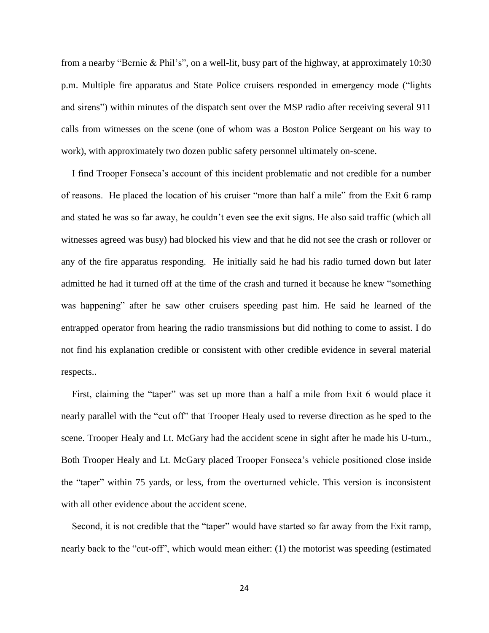from a nearby "Bernie & Phil's", on a well-lit, busy part of the highway, at approximately 10:30 p.m. Multiple fire apparatus and State Police cruisers responded in emergency mode ("lights and sirens") within minutes of the dispatch sent over the MSP radio after receiving several 911 calls from witnesses on the scene (one of whom was a Boston Police Sergeant on his way to work), with approximately two dozen public safety personnel ultimately on-scene.

I find Trooper Fonseca's account of this incident problematic and not credible for a number of reasons. He placed the location of his cruiser "more than half a mile" from the Exit 6 ramp and stated he was so far away, he couldn't even see the exit signs. He also said traffic (which all witnesses agreed was busy) had blocked his view and that he did not see the crash or rollover or any of the fire apparatus responding. He initially said he had his radio turned down but later admitted he had it turned off at the time of the crash and turned it because he knew "something was happening" after he saw other cruisers speeding past him. He said he learned of the entrapped operator from hearing the radio transmissions but did nothing to come to assist. I do not find his explanation credible or consistent with other credible evidence in several material respects..

First, claiming the "taper" was set up more than a half a mile from Exit 6 would place it nearly parallel with the "cut off" that Trooper Healy used to reverse direction as he sped to the scene. Trooper Healy and Lt. McGary had the accident scene in sight after he made his U-turn., Both Trooper Healy and Lt. McGary placed Trooper Fonseca's vehicle positioned close inside the "taper" within 75 yards, or less, from the overturned vehicle. This version is inconsistent with all other evidence about the accident scene.

Second, it is not credible that the "taper" would have started so far away from the Exit ramp, nearly back to the "cut-off", which would mean either: (1) the motorist was speeding (estimated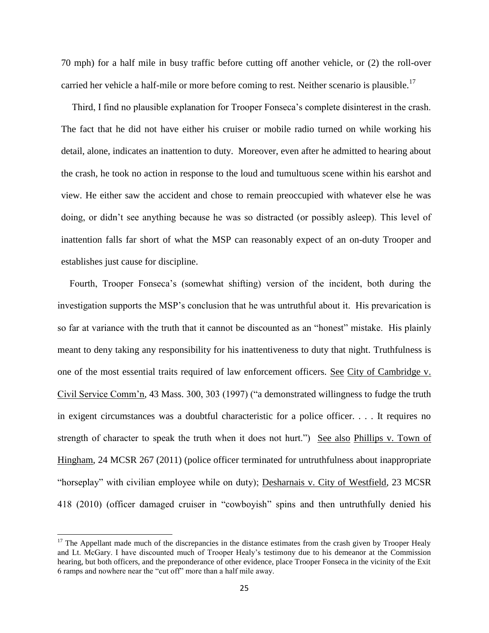70 mph) for a half mile in busy traffic before cutting off another vehicle, or (2) the roll-over carried her vehicle a half-mile or more before coming to rest. Neither scenario is plausible.<sup>17</sup>

Third, I find no plausible explanation for Trooper Fonseca's complete disinterest in the crash. The fact that he did not have either his cruiser or mobile radio turned on while working his detail, alone, indicates an inattention to duty. Moreover, even after he admitted to hearing about the crash, he took no action in response to the loud and tumultuous scene within his earshot and view. He either saw the accident and chose to remain preoccupied with whatever else he was doing, or didn't see anything because he was so distracted (or possibly asleep). This level of inattention falls far short of what the MSP can reasonably expect of an on-duty Trooper and establishes just cause for discipline.

Fourth, Trooper Fonseca's (somewhat shifting) version of the incident, both during the investigation supports the MSP's conclusion that he was untruthful about it. His prevarication is so far at variance with the truth that it cannot be discounted as an "honest" mistake. His plainly meant to deny taking any responsibility for his inattentiveness to duty that night. Truthfulness is one of the most essential traits required of law enforcement officers. See City of Cambridge v. Civil Service Comm'n, 43 Mass. 300, 303 (1997) ("a demonstrated willingness to fudge the truth in exigent circumstances was a doubtful characteristic for a police officer. . . . It requires no strength of character to speak the truth when it does not hurt.") See also Phillips v. Town of Hingham, 24 MCSR 267 (2011) (police officer terminated for untruthfulness about inappropriate "horseplay" with civilian employee while on duty); Desharnais v. City of Westfield, 23 MCSR 418 (2010) (officer damaged cruiser in "cowboyish" spins and then untruthfully denied his

 $\overline{\phantom{a}}$ 

 $17$  The Appellant made much of the discrepancies in the distance estimates from the crash given by Trooper Healy and Lt. McGary. I have discounted much of Trooper Healy's testimony due to his demeanor at the Commission hearing, but both officers, and the preponderance of other evidence, place Trooper Fonseca in the vicinity of the Exit 6 ramps and nowhere near the "cut off" more than a half mile away.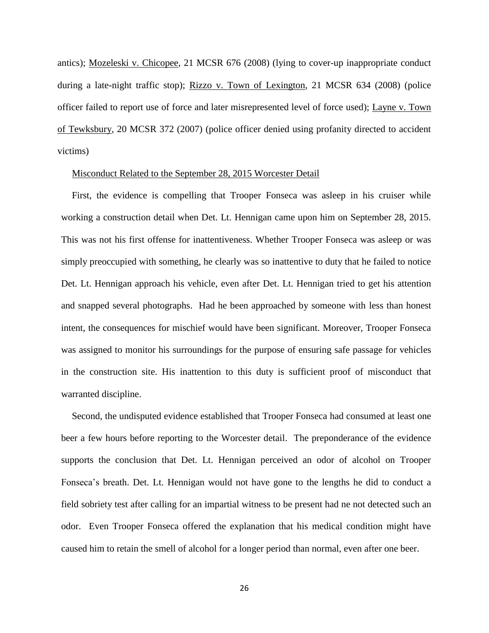antics); Mozeleski v. Chicopee, 21 MCSR 676 (2008) (lying to cover-up inappropriate conduct during a late-night traffic stop); Rizzo v. Town of Lexington, 21 MCSR 634 (2008) (police officer failed to report use of force and later misrepresented level of force used); Layne v. Town of Tewksbury, 20 MCSR 372 (2007) (police officer denied using profanity directed to accident victims)

### Misconduct Related to the September 28, 2015 Worcester Detail

First, the evidence is compelling that Trooper Fonseca was asleep in his cruiser while working a construction detail when Det. Lt. Hennigan came upon him on September 28, 2015. This was not his first offense for inattentiveness. Whether Trooper Fonseca was asleep or was simply preoccupied with something, he clearly was so inattentive to duty that he failed to notice Det. Lt. Hennigan approach his vehicle, even after Det. Lt. Hennigan tried to get his attention and snapped several photographs. Had he been approached by someone with less than honest intent, the consequences for mischief would have been significant. Moreover, Trooper Fonseca was assigned to monitor his surroundings for the purpose of ensuring safe passage for vehicles in the construction site. His inattention to this duty is sufficient proof of misconduct that warranted discipline.

Second, the undisputed evidence established that Trooper Fonseca had consumed at least one beer a few hours before reporting to the Worcester detail. The preponderance of the evidence supports the conclusion that Det. Lt. Hennigan perceived an odor of alcohol on Trooper Fonseca's breath. Det. Lt. Hennigan would not have gone to the lengths he did to conduct a field sobriety test after calling for an impartial witness to be present had ne not detected such an odor. Even Trooper Fonseca offered the explanation that his medical condition might have caused him to retain the smell of alcohol for a longer period than normal, even after one beer.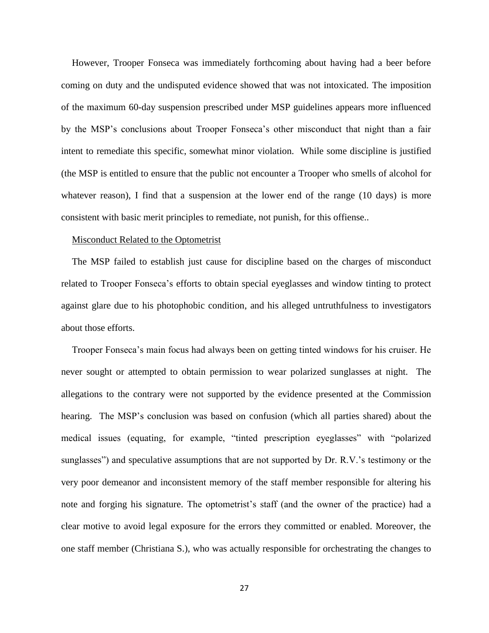However, Trooper Fonseca was immediately forthcoming about having had a beer before coming on duty and the undisputed evidence showed that was not intoxicated. The imposition of the maximum 60-day suspension prescribed under MSP guidelines appears more influenced by the MSP's conclusions about Trooper Fonseca's other misconduct that night than a fair intent to remediate this specific, somewhat minor violation. While some discipline is justified (the MSP is entitled to ensure that the public not encounter a Trooper who smells of alcohol for whatever reason), I find that a suspension at the lower end of the range (10 days) is more consistent with basic merit principles to remediate, not punish, for this offiense..

#### Misconduct Related to the Optometrist

The MSP failed to establish just cause for discipline based on the charges of misconduct related to Trooper Fonseca's efforts to obtain special eyeglasses and window tinting to protect against glare due to his photophobic condition, and his alleged untruthfulness to investigators about those efforts.

Trooper Fonseca's main focus had always been on getting tinted windows for his cruiser. He never sought or attempted to obtain permission to wear polarized sunglasses at night. The allegations to the contrary were not supported by the evidence presented at the Commission hearing. The MSP's conclusion was based on confusion (which all parties shared) about the medical issues (equating, for example, "tinted prescription eyeglasses" with "polarized sunglasses") and speculative assumptions that are not supported by Dr. R.V.'s testimony or the very poor demeanor and inconsistent memory of the staff member responsible for altering his note and forging his signature. The optometrist's staff (and the owner of the practice) had a clear motive to avoid legal exposure for the errors they committed or enabled. Moreover, the one staff member (Christiana S.), who was actually responsible for orchestrating the changes to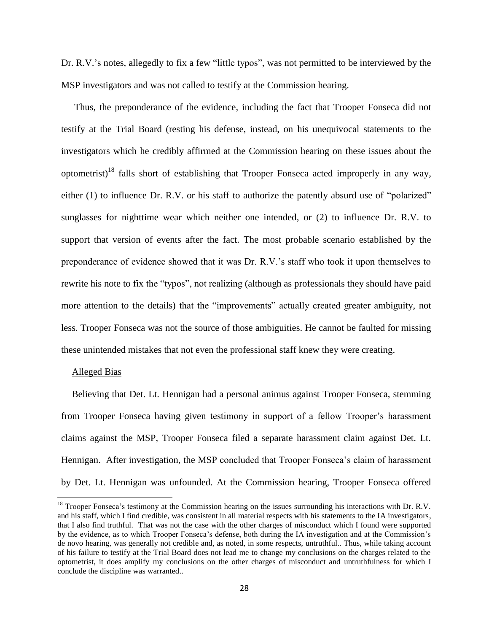Dr. R.V.'s notes, allegedly to fix a few "little typos", was not permitted to be interviewed by the MSP investigators and was not called to testify at the Commission hearing.

Thus, the preponderance of the evidence, including the fact that Trooper Fonseca did not testify at the Trial Board (resting his defense, instead, on his unequivocal statements to the investigators which he credibly affirmed at the Commission hearing on these issues about the optometrist)<sup>18</sup> falls short of establishing that Trooper Fonseca acted improperly in any way, either (1) to influence Dr. R.V. or his staff to authorize the patently absurd use of "polarized" sunglasses for nighttime wear which neither one intended, or (2) to influence Dr. R.V. to support that version of events after the fact. The most probable scenario established by the preponderance of evidence showed that it was Dr. R.V.'s staff who took it upon themselves to rewrite his note to fix the "typos", not realizing (although as professionals they should have paid more attention to the details) that the "improvements" actually created greater ambiguity, not less. Trooper Fonseca was not the source of those ambiguities. He cannot be faulted for missing these unintended mistakes that not even the professional staff knew they were creating.

#### Alleged Bias

 $\overline{a}$ 

Believing that Det. Lt. Hennigan had a personal animus against Trooper Fonseca, stemming from Trooper Fonseca having given testimony in support of a fellow Trooper's harassment claims against the MSP, Trooper Fonseca filed a separate harassment claim against Det. Lt. Hennigan. After investigation, the MSP concluded that Trooper Fonseca's claim of harassment by Det. Lt. Hennigan was unfounded. At the Commission hearing, Trooper Fonseca offered

 $18$  Trooper Fonseca's testimony at the Commission hearing on the issues surrounding his interactions with Dr. R.V. and his staff, which I find credible, was consistent in all material respects with his statements to the IA investigators, that I also find truthful. That was not the case with the other charges of misconduct which I found were supported by the evidence, as to which Trooper Fonseca's defense, both during the IA investigation and at the Commission's de novo hearing, was generally not credible and, as noted, in some respects, untruthful.. Thus, while taking account of his failure to testify at the Trial Board does not lead me to change my conclusions on the charges related to the optometrist, it does amplify my conclusions on the other charges of misconduct and untruthfulness for which I conclude the discipline was warranted..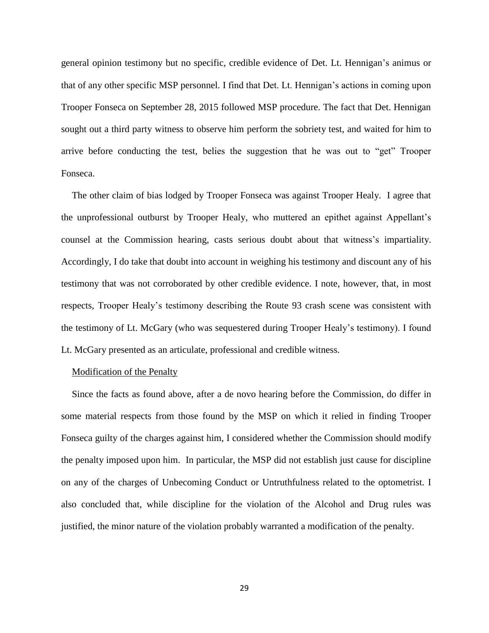general opinion testimony but no specific, credible evidence of Det. Lt. Hennigan's animus or that of any other specific MSP personnel. I find that Det. Lt. Hennigan's actions in coming upon Trooper Fonseca on September 28, 2015 followed MSP procedure. The fact that Det. Hennigan sought out a third party witness to observe him perform the sobriety test, and waited for him to arrive before conducting the test, belies the suggestion that he was out to "get" Trooper Fonseca.

The other claim of bias lodged by Trooper Fonseca was against Trooper Healy. I agree that the unprofessional outburst by Trooper Healy, who muttered an epithet against Appellant's counsel at the Commission hearing, casts serious doubt about that witness's impartiality. Accordingly, I do take that doubt into account in weighing his testimony and discount any of his testimony that was not corroborated by other credible evidence. I note, however, that, in most respects, Trooper Healy's testimony describing the Route 93 crash scene was consistent with the testimony of Lt. McGary (who was sequestered during Trooper Healy's testimony). I found Lt. McGary presented as an articulate, professional and credible witness.

### Modification of the Penalty

Since the facts as found above, after a de novo hearing before the Commission, do differ in some material respects from those found by the MSP on which it relied in finding Trooper Fonseca guilty of the charges against him, I considered whether the Commission should modify the penalty imposed upon him. In particular, the MSP did not establish just cause for discipline on any of the charges of Unbecoming Conduct or Untruthfulness related to the optometrist. I also concluded that, while discipline for the violation of the Alcohol and Drug rules was justified, the minor nature of the violation probably warranted a modification of the penalty.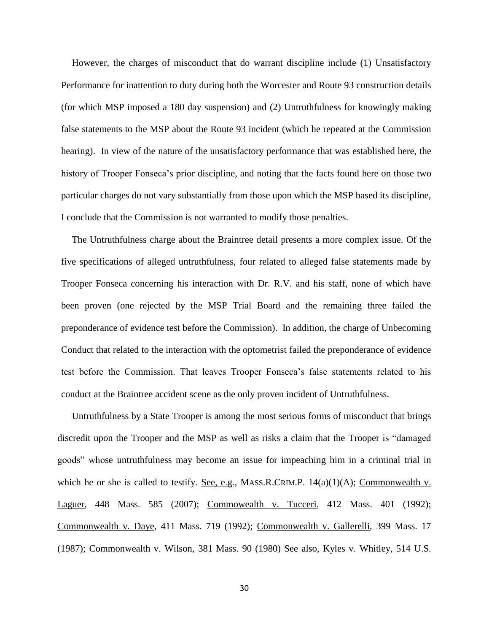However, the charges of misconduct that do warrant discipline include (1) Unsatisfactory Performance for inattention to duty during both the Worcester and Route 93 construction details (for which MSP imposed a 180 day suspension) and (2) Untruthfulness for knowingly making false statements to the MSP about the Route 93 incident (which he repeated at the Commission hearing). In view of the nature of the unsatisfactory performance that was established here, the history of Trooper Fonseca's prior discipline, and noting that the facts found here on those two particular charges do not vary substantially from those upon which the MSP based its discipline, I conclude that the Commission is not warranted to modify those penalties.

The Untruthfulness charge about the Braintree detail presents a more complex issue. Of the five specifications of alleged untruthfulness, four related to alleged false statements made by Trooper Fonseca concerning his interaction with Dr. R.V. and his staff, none of which have been proven (one rejected by the MSP Trial Board and the remaining three failed the preponderance of evidence test before the Commission). In addition, the charge of Unbecoming Conduct that related to the interaction with the optometrist failed the preponderance of evidence test before the Commission. That leaves Trooper Fonseca's false statements related to his conduct at the Braintree accident scene as the only proven incident of Untruthfulness.

Untruthfulness by a State Trooper is among the most serious forms of misconduct that brings discredit upon the Trooper and the MSP as well as risks a claim that the Trooper is "damaged goods" whose untruthfulness may become an issue for impeaching him in a criminal trial in which he or she is called to testify. See, e.g., MASS.R.CRIM.P.  $14(a)(1)(A)$ ; Commonwealth v. Laguer, 448 Mass. 585 (2007); Commowealth v. Tucceri, 412 Mass. 401 (1992); Commonwealth v. Daye, 411 Mass. 719 (1992); Commonwealth v. Gallerelli, 399 Mass. 17 (1987); Commonwealth v. Wilson, 381 Mass. 90 (1980) See also, Kyles v. Whitley, 514 U.S.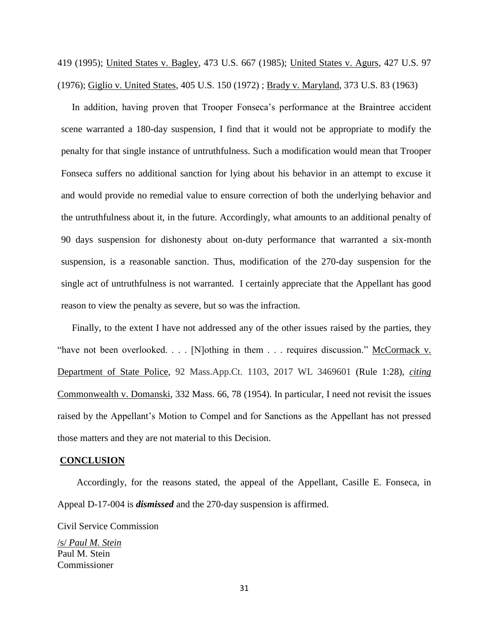419 (1995); United States v. Bagley, 473 U.S. 667 (1985); United States v. Agurs, 427 U.S. 97 (1976); Giglio v. United States, 405 U.S. 150 (1972) ; Brady v. Maryland, 373 U.S. 83 (1963)

In addition, having proven that Trooper Fonseca's performance at the Braintree accident scene warranted a 180-day suspension, I find that it would not be appropriate to modify the penalty for that single instance of untruthfulness. Such a modification would mean that Trooper Fonseca suffers no additional sanction for lying about his behavior in an attempt to excuse it and would provide no remedial value to ensure correction of both the underlying behavior and the untruthfulness about it, in the future. Accordingly, what amounts to an additional penalty of 90 days suspension for dishonesty about on-duty performance that warranted a six-month suspension, is a reasonable sanction. Thus, modification of the 270-day suspension for the single act of untruthfulness is not warranted. I certainly appreciate that the Appellant has good reason to view the penalty as severe, but so was the infraction.

Finally, to the extent I have not addressed any of the other issues raised by the parties, they "have not been overlooked. . . . [N]othing in them . . . requires discussion." McCormack v. Department of State Police, 92 Mass.App.Ct. 1103, 2017 WL 3469601 (Rule 1:28), *citing* Commonwealth v. Domanski, 332 Mass. 66, 78 (1954). In particular, I need not revisit the issues raised by the Appellant's Motion to Compel and for Sanctions as the Appellant has not pressed those matters and they are not material to this Decision.

#### **CONCLUSION**

 Accordingly, for the reasons stated, the appeal of the Appellant, Casille E. Fonseca, in Appeal D-17-004 is *dismissed* and the 270-day suspension is affirmed.

Civil Service Commission

/s/ *Paul M. Stein* Paul M. Stein Commissioner